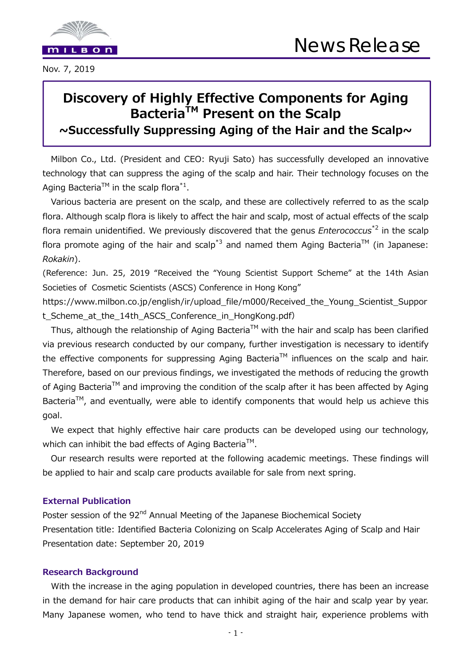

# **Discovery of Highly Effective Components for Aging Bacteria<sup>™</sup> Present on the Scalp ~Successfully Suppressing Aging of the Hair and the Scalp~**

Milbon Co., Ltd. (President and CEO: Ryuji Sato) has successfully developed an innovative technology that can suppress the aging of the scalp and hair. Their technology focuses on the Aging Bacteria<sup>TM</sup> in the scalp flora<sup>\*1</sup>.

Various bacteria are present on the scalp, and these are collectively referred to as the scalp flora. Although scalp flora is likely to affect the hair and scalp, most of actual effects of the scalp flora remain unidentified. We previously discovered that the genus *Enterococcus*\*2 in the scalp flora promote aging of the hair and scalp<sup>\*3</sup> and named them Aging Bacteria<sup>TM</sup> (in Japanese: *Rokakin*).

(Reference: Jun. 25, 2019 "Received the "Young Scientist Support Scheme" at the 14th Asian Societies of Cosmetic Scientists (ASCS) Conference in Hong Kong"

https://www.milbon.co.jp/english/ir/upload\_file/m000/Received\_the\_Young\_Scientist\_Suppor t Scheme at the 14th ASCS Conference in HongKong.pdf)

Thus, although the relationship of Aging Bacteria<sup>TM</sup> with the hair and scalp has been clarified via previous research conducted by our company, further investigation is necessary to identify the effective components for suppressing Aging Bacteria<sup>TM</sup> influences on the scalp and hair. Therefore, based on our previous findings, we investigated the methods of reducing the growth of Aging Bacteria™ and improving the condition of the scalp after it has been affected by Aging Bacteria<sup>™</sup>, and eventually, were able to identify components that would help us achieve this goal.

We expect that highly effective hair care products can be developed using our technology, which can inhibit the bad effects of Aging Bacteria<sup>™</sup>.

Our research results were reported at the following academic meetings. These findings will be applied to hair and scalp care products available for sale from next spring.

# **External Publication**

Poster session of the 92<sup>nd</sup> Annual Meeting of the Japanese Biochemical Society Presentation title: Identified Bacteria Colonizing on Scalp Accelerates Aging of Scalp and Hair Presentation date: September 20, 2019

#### **Research Background**

With the increase in the aging population in developed countries, there has been an increase in the demand for hair care products that can inhibit aging of the hair and scalp year by year. Many Japanese women, who tend to have thick and straight hair, experience problems with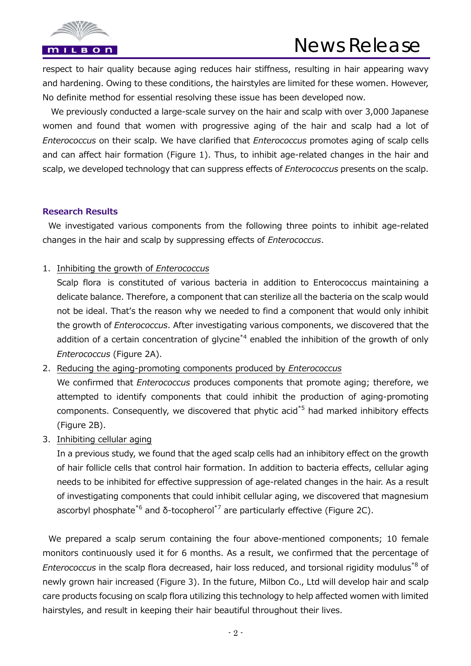

respect to hair quality because aging reduces hair stiffness, resulting in hair appearing wavy and hardening. Owing to these conditions, the hairstyles are limited for these women. However, No definite method for essential resolving these issue has been developed now.

We previously conducted a large-scale survey on the hair and scalp with over 3,000 Japanese women and found that women with progressive aging of the hair and scalp had a lot of *Enterococcus* on their scalp. We have clarified that *Enterococcus* promotes aging of scalp cells and can affect hair formation (Figure 1). Thus, to inhibit age-related changes in the hair and scalp, we developed technology that can suppress effects of *Enterococcus* presents on the scalp.

#### **Research Results**

 We investigated various components from the following three points to inhibit age-related changes in the hair and scalp by suppressing effects of *Enterococcus*.

#### 1. Inhibiting the growth of *Enterococcus*

Scalp flora is constituted of various bacteria in addition to Enterococcus maintaining a delicate balance. Therefore, a component that can sterilize all the bacteria on the scalp would not be ideal. That's the reason why we needed to find a component that would only inhibit the growth of *Enterococcus*. After investigating various components, we discovered that the addition of a certain concentration of glycine<sup>\*4</sup> enabled the inhibition of the growth of only *Enterococcus* (Figure 2A).

2. Reducing the aging-promoting components produced by *Enterococcus*

We confirmed that *Enterococcus* produces components that promote aging; therefore, we attempted to identify components that could inhibit the production of aging-promoting components. Consequently, we discovered that phytic acid<sup>\*5</sup> had marked inhibitory effects (Figure 2B).

3. Inhibiting cellular aging

In a previous study, we found that the aged scalp cells had an inhibitory effect on the growth of hair follicle cells that control hair formation. In addition to bacteria effects, cellular aging needs to be inhibited for effective suppression of age-related changes in the hair. As a result of investigating components that could inhibit cellular aging, we discovered that magnesium ascorbyl phosphate<sup>\*6</sup> and  $\delta$ -tocopherol<sup>\*7</sup> are particularly effective (Figure 2C).

 We prepared a scalp serum containing the four above-mentioned components; 10 female monitors continuously used it for 6 months. As a result, we confirmed that the percentage of *Enterococcus* in the scalp flora decreased, hair loss reduced, and torsional rigidity modulus\*8 of newly grown hair increased (Figure 3). In the future, Milbon Co., Ltd will develop hair and scalp care products focusing on scalp flora utilizing this technology to help affected women with limited hairstyles, and result in keeping their hair beautiful throughout their lives.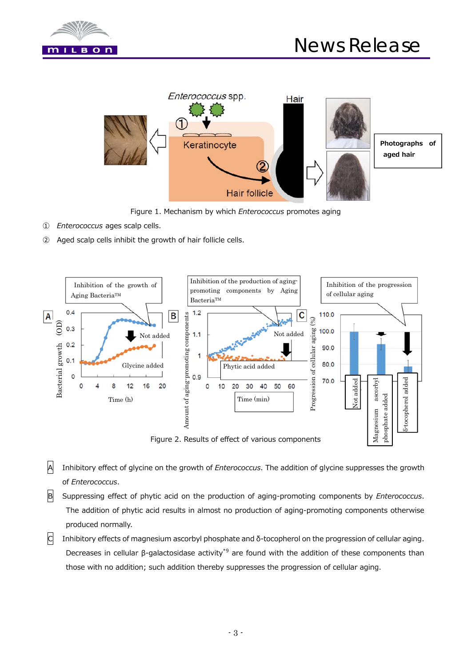



Figure 1. Mechanism by which *Enterococcus* promotes aging

- ① *Enterococcus* ages scalp cells.
- ② Aged scalp cells inhibit the growth of hair follicle cells.



A Inhibitory effect of glycine on the growth of *Enterococcus*. The addition of glycine suppresses the growth of *Enterococcus*.

- B Suppressing effect of phytic acid on the production of aging-promoting components by *Enterococcus*. The addition of phytic acid results in almost no production of aging-promoting components otherwise produced normally.
- C Inhibitory effects of magnesium ascorbyl phosphate and δ-tocopherol on the progression of cellular aging. Decreases in cellular β-galactosidase activity\*9 are found with the addition of these components than those with no addition; such addition thereby suppresses the progression of cellular aging.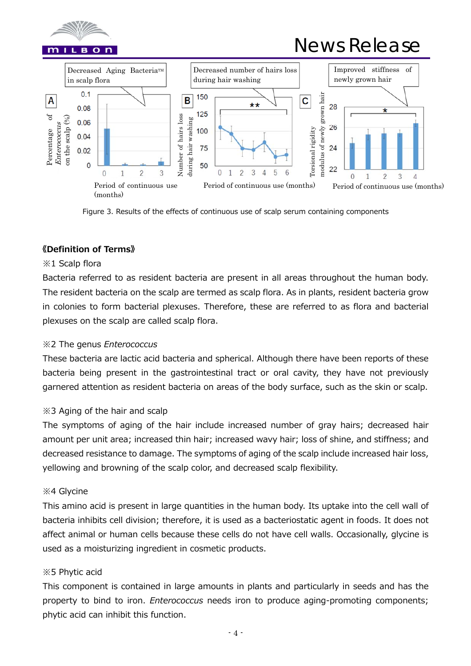

# News Release



Figure 3. Results of the effects of continuous use of scalp serum containing components

# **《Definition of Terms》**

#### ※1 Scalp flora

Bacteria referred to as resident bacteria are present in all areas throughout the human body. The resident bacteria on the scalp are termed as scalp flora. As in plants, resident bacteria grow in colonies to form bacterial plexuses. Therefore, these are referred to as flora and bacterial plexuses on the scalp are called scalp flora.

# ※2 The genus *Enterococcus*

These bacteria are lactic acid bacteria and spherical. Although there have been reports of these bacteria being present in the gastrointestinal tract or oral cavity, they have not previously garnered attention as resident bacteria on areas of the body surface, such as the skin or scalp.

# ※3 Aging of the hair and scalp

The symptoms of aging of the hair include increased number of gray hairs; decreased hair amount per unit area; increased thin hair; increased wavy hair; loss of shine, and stiffness; and decreased resistance to damage. The symptoms of aging of the scalp include increased hair loss, yellowing and browning of the scalp color, and decreased scalp flexibility.

#### ※4 Glycine

This amino acid is present in large quantities in the human body. Its uptake into the cell wall of bacteria inhibits cell division; therefore, it is used as a bacteriostatic agent in foods. It does not affect animal or human cells because these cells do not have cell walls. Occasionally, glycine is used as a moisturizing ingredient in cosmetic products.

#### ※5 Phytic acid

This component is contained in large amounts in plants and particularly in seeds and has the property to bind to iron. *Enterococcus* needs iron to produce aging-promoting components; phytic acid can inhibit this function.